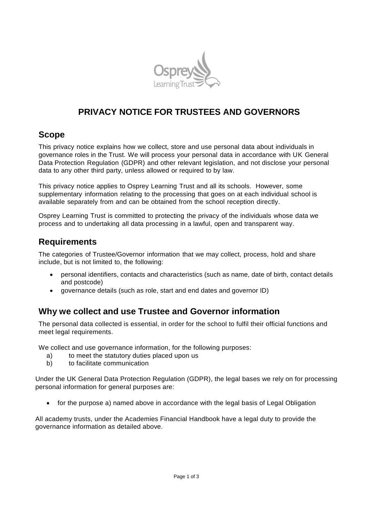

# **PRIVACY NOTICE FOR TRUSTEES AND GOVERNORS**

#### **Scope**

This privacy notice explains how we collect, store and use personal data about individuals in governance roles in the Trust. We will process your personal data in accordance with UK General Data Protection Regulation (GDPR) and other relevant legislation, and not disclose your personal data to any other third party, unless allowed or required to by law.

This privacy notice applies to Osprey Learning Trust and all its schools. However, some supplementary information relating to the processing that goes on at each individual school is available separately from and can be obtained from the school reception directly.

Osprey Learning Trust is committed to protecting the privacy of the individuals whose data we process and to undertaking all data processing in a lawful, open and transparent way.

## **Requirements**

The categories of Trustee/Governor information that we may collect, process, hold and share include, but is not limited to, the following:

- personal identifiers, contacts and characteristics (such as name, date of birth, contact details and postcode)
- governance details (such as role, start and end dates and governor ID)

## **Why we collect and use Trustee and Governor information**

The personal data collected is essential, in order for the school to fulfil their official functions and meet legal requirements.

We collect and use governance information, for the following purposes:

- a) to meet the statutory duties placed upon us
- b) to facilitate communication

Under the UK General Data Protection Regulation (GDPR), the legal bases we rely on for processing personal information for general purposes are:

• for the purpose a) named above in accordance with the legal basis of Legal Obligation

All academy trusts, under the Academies Financial Handbook have a legal duty to provide the governance information as detailed above.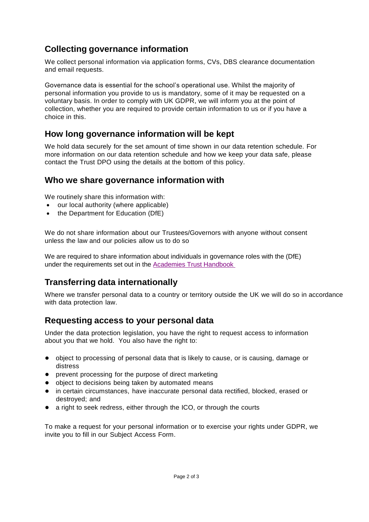# **Collecting governance information**

We collect personal information via application forms, CVs, DBS clearance documentation and email requests.

Governance data is essential for the school's operational use. Whilst the majority of personal information you provide to us is mandatory, some of it may be requested on a voluntary basis. In order to comply with UK GDPR, we will inform you at the point of collection, whether you are required to provide certain information to us or if you have a choice in this.

## **How long governance information will be kept**

We hold data securely for the set amount of time shown in our data retention schedule. For more information on our data retention schedule and how we keep your data safe, please contact the Trust DPO using the details at the bottom of this policy.

#### **Who we share governance information with**

We routinely share this information with:

- our local authority (where applicable)
- the Department for Education (DfE)

We do not share information about our Trustees/Governors with anyone without consent unless the law and our policies allow us to do so

We are required to share information about individuals in governance roles with the (DfE) under the requirements set out in the [Academies Trust](https://www.gov.uk/government/publications/academies-financial-handbook) Handbook

## **Transferring data internationally**

Where we transfer personal data to a country or territory outside the UK we will do so in accordance with data protection law.

## **Requesting access to your personal data**

Under the data protection legislation, you have the right to request access to information about you that we hold. You also have the right to:

- object to processing of personal data that is likely to cause, or is causing, damage or distress
- prevent processing for the purpose of direct marketing
- object to decisions being taken by automated means
- in certain circumstances, have inaccurate personal data rectified, blocked, erased or destroyed; and
- a right to seek redress, either through the ICO, or through the courts

To make a request for your personal information or to exercise your rights under GDPR, we invite you to fill in our Subject Access Form.